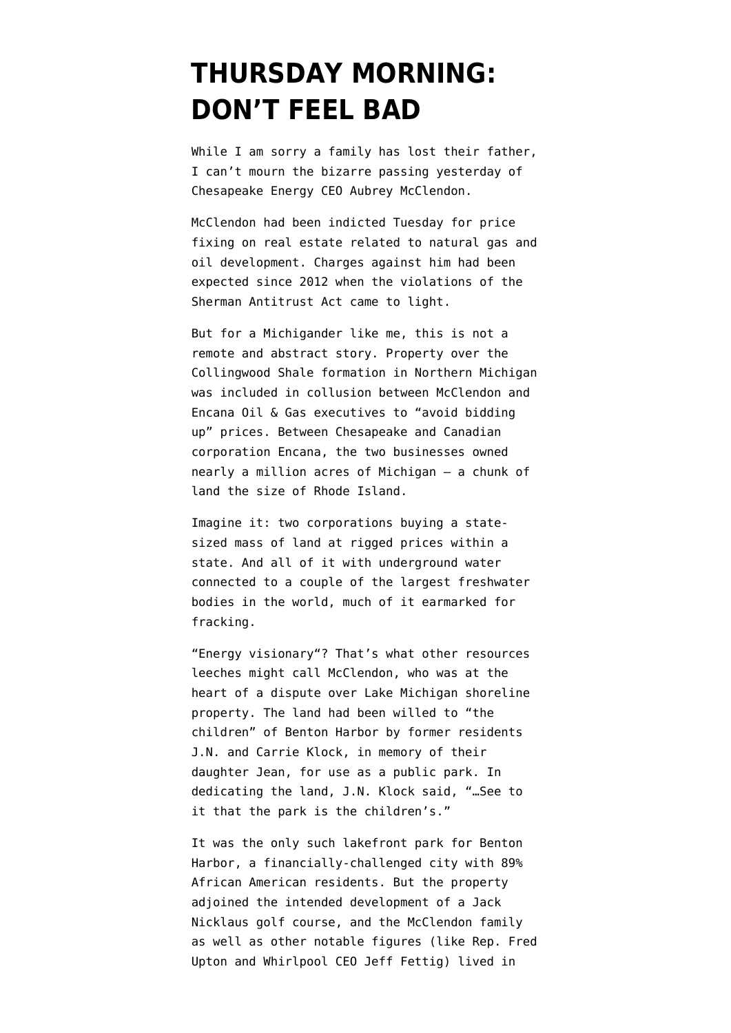## **[THURSDAY MORNING:](https://www.emptywheel.net/2016/03/03/thursday-morning-dont-feel-bad/) [DON'T FEEL BAD](https://www.emptywheel.net/2016/03/03/thursday-morning-dont-feel-bad/)**

While I am sorry a family has lost their father, I can't mourn the [bizarre passing](http://kfor.com/2016/03/02/police-former-ceo-of-chesapeake-aubrey-mcclendon-killed-in-car-accident/) yesterday of Chesapeake Energy CEO Aubrey McClendon.

McClendon had been indicted Tuesday for price fixing on real estate related to natural gas and oil development. Charges against him had been [expected since 2012](http://www.reuters.com/article/us-chesapeake-land-deals-idUSBRE85O0EI20120625) when the violations of the [Sherman Antitrust Act](https://en.wikipedia.org/wiki/Sherman_Antitrust_Act) came to light.

But for a Michigander like me, this is not a remote and abstract story. Property over the Collingwood Shale formation in Northern Michigan was included in collusion between McClendon and Encana Oil & Gas executives to "avoid bidding up" prices. Between Chesapeake and Canadian corporation Encana, the two businesses owned nearly a million acres of Michigan — a chunk of land the size of Rhode Island.

Imagine it: two corporations buying a statesized mass of land at rigged prices within a state. And all of it with underground water connected to a couple of the largest freshwater bodies in the world, much of it [earmarked for](http://www.sourcewatch.org/index.php/Michigan_and_fracking) [fracking.](http://www.sourcewatch.org/index.php/Michigan_and_fracking)

"[Energy visionary"](http://www.reuters.com/article/chesapeake-energy-mcclendon-obituary-idUSL2N16A1Y3)? That's what other resources leeches might call McClendon, who was at the heart of [a dispute over Lake Michigan shoreline](http://www.eclectablog.com/2011/04/connection-between-michigans-efm-power.html) [property.](http://www.eclectablog.com/2011/04/connection-between-michigans-efm-power.html) The land had been willed to "the children" of Benton Harbor by former residents J.N. and Carrie Klock, in memory of their daughter Jean, [for use as a public park.](https://en.wikipedia.org/wiki/Jean_Klock_Park) In dedicating the land, J.N. Klock said, "…See to it that the park is the children's."

It was the only such lakefront park for Benton Harbor, a financially-challenged city with 89% African American residents. But the property adjoined the intended development of a Jack Nicklaus golf course, and the McClendon family as well as other notable figures (like Rep. Fred Upton and Whirlpool CEO Jeff Fettig) lived in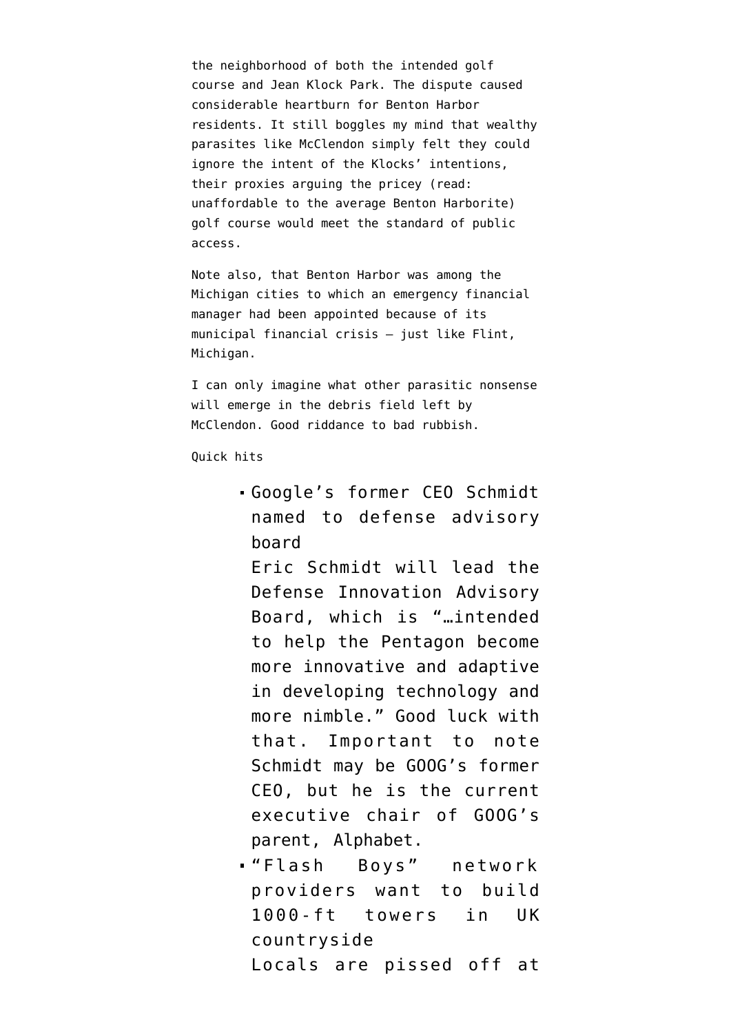the neighborhood of both the intended golf course and Jean Klock Park. The dispute caused considerable heartburn for Benton Harbor residents. It still boggles my mind that wealthy parasites like McClendon simply felt they could ignore the intent of the Klocks' intentions, their proxies arguing the pricey (read: unaffordable to the average Benton Harborite) golf course would meet the standard of public access.

Note also, that [Benton Harbor](https://en.wikipedia.org/wiki/Financial_emergency_in_Michigan#Emergency_manager) was among the Michigan cities to which an emergency financial manager had been appointed because of its municipal financial crisis — just like Flint, Michigan.

I can only imagine what other parasitic nonsense will emerge in the debris field left by McClendon. Good riddance to bad rubbish.

Quick hits

[Google's former CEO Schmidt](https://www.pehub.com/2016/03/former-google-ceo-schmidt-to-head-new-pentagon-innovation-board-reuters/) [named to defense advisory](https://www.pehub.com/2016/03/former-google-ceo-schmidt-to-head-new-pentagon-innovation-board-reuters/) [board](https://www.pehub.com/2016/03/former-google-ceo-schmidt-to-head-new-pentagon-innovation-board-reuters/)

Eric Schmidt will lead the Defense Innovation Advisory Board, which is "…intended to help the Pentagon become more innovative and adaptive in developing technology and more nimble." Good luck with that. Important to note Schmidt may be GOOG's former CEO, but he is the current executive chair of GOOG's parent, Alphabet.

["Flash Boys" network](http://www.theguardian.com/business/2016/mar/01/high-frequency-traders-turn-rural-kent-into-telecoms-battleground) [providers want to build](http://www.theguardian.com/business/2016/mar/01/high-frequency-traders-turn-rural-kent-into-telecoms-battleground) [1000-ft towers in UK](http://www.theguardian.com/business/2016/mar/01/high-frequency-traders-turn-rural-kent-into-telecoms-battleground) [countryside](http://www.theguardian.com/business/2016/mar/01/high-frequency-traders-turn-rural-kent-into-telecoms-battleground) Locals are pissed off at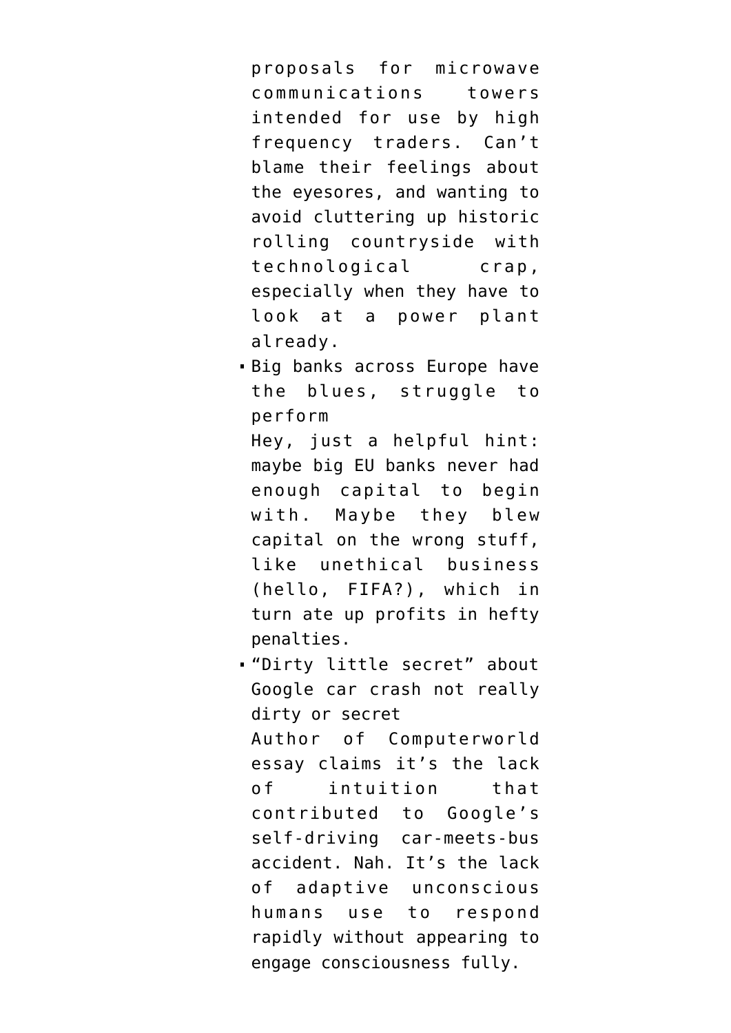proposals for microwave communications towers intended for use by [high](http://gizmodo.com/getting-lost-down-the-rabbit-hole-of-private-infrastruc-1562782580) [frequency traders.](http://gizmodo.com/getting-lost-down-the-rabbit-hole-of-private-infrastruc-1562782580) Can't blame their feelings about the eyesores, and wanting to avoid cluttering up [historic](https://www.english-heritage.org.uk/content/images/story-england/romans/richborough-fortifications) [rolling countryside](https://www.english-heritage.org.uk/content/images/story-england/romans/richborough-fortifications) with technological crap, especially when they have to [look at a power plant](http://c8.alamy.com/comp/BYC2JA/aerial-of-richborough-power-station-kent-england-BYC2JA.jpg) already.

[Big banks across Europe have](http://www.bloomberg.com/news/articles/2016-03-03/diagnosing-what-ails-europe-s-biggest-banks) [the blues, struggle to](http://www.bloomberg.com/news/articles/2016-03-03/diagnosing-what-ails-europe-s-biggest-banks) [perform](http://www.bloomberg.com/news/articles/2016-03-03/diagnosing-what-ails-europe-s-biggest-banks)

Hey, just a helpful hint: maybe big EU banks never had enough capital to begin with. Maybe they blew capital on the wrong stuff, like unethical business (hello, FIFA?), which in turn [ate up profits in hefty](http://public.tableau.com/views/bankfines-I/banks?:embed=y&:loadOrderID=0&:display_count=yes&:showTabs=y) [penalties.](http://public.tableau.com/views/bankfines-I/banks?:embed=y&:loadOrderID=0&:display_count=yes&:showTabs=y)

["Dirty little secret" about](http://www.computerworld.com/article/3039871/personal-technology/the-first-ever-google-car-crash-has-a-dirty-little-secret.html) [Google car crash not really](http://www.computerworld.com/article/3039871/personal-technology/the-first-ever-google-car-crash-has-a-dirty-little-secret.html) [dirty or secret](http://www.computerworld.com/article/3039871/personal-technology/the-first-ever-google-car-crash-has-a-dirty-little-secret.html) Author of Computerworld essay claims it's the lack of intuition that contributed to Google's self-driving car-meets-bus accident. Nah. It's the lack of [adaptive unconscious](https://en.wikipedia.org/wiki/Adaptive_unconscious) humans use to respond rapidly without appearing to engage consciousness fully.